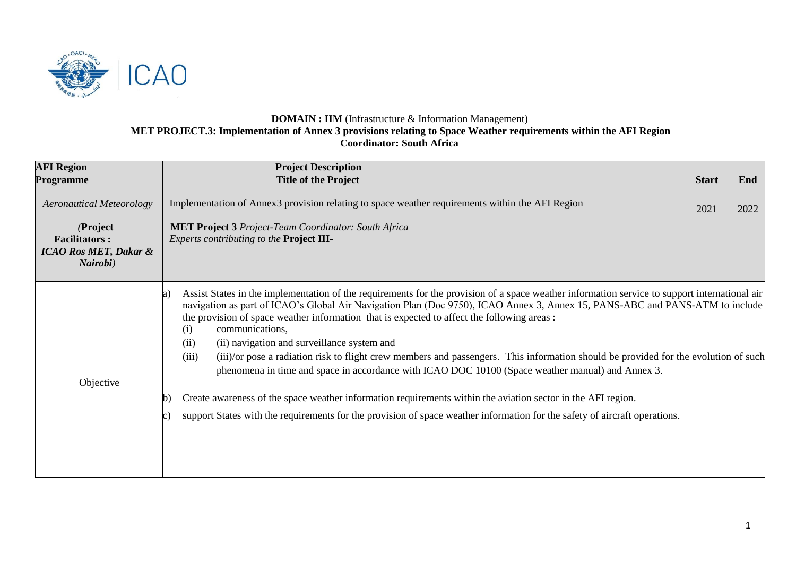

## **DOMAIN : IIM** (Infrastructure & Information Management) **MET PROJECT.3: Implementation of Annex 3 provisions relating to Space Weather requirements within the AFI Region Coordinator: South Africa**

| <b>AFI Region</b>                | <b>Project Description</b>                                                                                                                                                                                                                                                                                                                                                                                                                                                                                                                                                                                                                                                                                               |              |      |
|----------------------------------|--------------------------------------------------------------------------------------------------------------------------------------------------------------------------------------------------------------------------------------------------------------------------------------------------------------------------------------------------------------------------------------------------------------------------------------------------------------------------------------------------------------------------------------------------------------------------------------------------------------------------------------------------------------------------------------------------------------------------|--------------|------|
| Programme                        | <b>Title of the Project</b>                                                                                                                                                                                                                                                                                                                                                                                                                                                                                                                                                                                                                                                                                              | <b>Start</b> | End  |
| <b>Aeronautical Meteorology</b>  | Implementation of Annex3 provision relating to space weather requirements within the AFI Region                                                                                                                                                                                                                                                                                                                                                                                                                                                                                                                                                                                                                          | 2021         | 2022 |
| (Project                         | <b>MET Project 3 Project-Team Coordinator: South Africa</b>                                                                                                                                                                                                                                                                                                                                                                                                                                                                                                                                                                                                                                                              |              |      |
| <b>Facilitators:</b>             | Experts contributing to the Project III-                                                                                                                                                                                                                                                                                                                                                                                                                                                                                                                                                                                                                                                                                 |              |      |
| <b>ICAO Ros MET, Dakar &amp;</b> |                                                                                                                                                                                                                                                                                                                                                                                                                                                                                                                                                                                                                                                                                                                          |              |      |
| Nairobi)                         |                                                                                                                                                                                                                                                                                                                                                                                                                                                                                                                                                                                                                                                                                                                          |              |      |
|                                  |                                                                                                                                                                                                                                                                                                                                                                                                                                                                                                                                                                                                                                                                                                                          |              |      |
| Objective                        | Assist States in the implementation of the requirements for the provision of a space weather information service to support international air<br>a)<br>navigation as part of ICAO's Global Air Navigation Plan (Doc 9750), ICAO Annex 3, Annex 15, PANS-ABC and PANS-ATM to include<br>the provision of space weather information that is expected to affect the following areas :<br>communications,<br>(i)<br>(ii) navigation and surveillance system and<br>(ii)<br>(iii)/or pose a radiation risk to flight crew members and passengers. This information should be provided for the evolution of such<br>(iii)<br>phenomena in time and space in accordance with ICAO DOC 10100 (Space weather manual) and Annex 3. |              |      |
|                                  | Create awareness of the space weather information requirements within the aviation sector in the AFI region.                                                                                                                                                                                                                                                                                                                                                                                                                                                                                                                                                                                                             |              |      |
|                                  | support States with the requirements for the provision of space weather information for the safety of aircraft operations.                                                                                                                                                                                                                                                                                                                                                                                                                                                                                                                                                                                               |              |      |
|                                  |                                                                                                                                                                                                                                                                                                                                                                                                                                                                                                                                                                                                                                                                                                                          |              |      |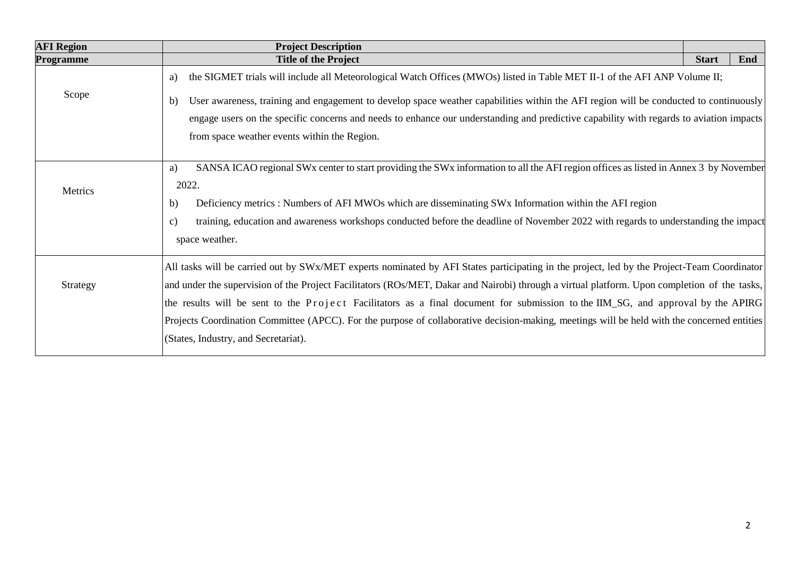| <b>AFI Region</b> | <b>Project Description</b>                                                                                                                           |              |     |  |  |  |  |
|-------------------|------------------------------------------------------------------------------------------------------------------------------------------------------|--------------|-----|--|--|--|--|
| Programme         | <b>Title of the Project</b>                                                                                                                          | <b>Start</b> | End |  |  |  |  |
|                   | the SIGMET trials will include all Meteorological Watch Offices (MWOs) listed in Table MET II-1 of the AFI ANP Volume II;<br>a)                      |              |     |  |  |  |  |
| Scope             | User awareness, training and engagement to develop space weather capabilities within the AFI region will be conducted to continuously<br>b)          |              |     |  |  |  |  |
|                   | engage users on the specific concerns and needs to enhance our understanding and predictive capability with regards to aviation impacts              |              |     |  |  |  |  |
|                   | from space weather events within the Region.                                                                                                         |              |     |  |  |  |  |
|                   |                                                                                                                                                      |              |     |  |  |  |  |
|                   | SANSA ICAO regional SWx center to start providing the SWx information to all the AFI region offices as listed in Annex 3 by November<br>a)           |              |     |  |  |  |  |
| Metrics           | 2022.                                                                                                                                                |              |     |  |  |  |  |
|                   | Deficiency metrics : Numbers of AFI MWOs which are disseminating SWx Information within the AFI region<br>b)                                         |              |     |  |  |  |  |
|                   | training, education and awareness workshops conducted before the deadline of November 2022 with regards to understanding the impact<br>$\mathbf{c})$ |              |     |  |  |  |  |
|                   | space weather.                                                                                                                                       |              |     |  |  |  |  |
|                   | All tasks will be carried out by SWx/MET experts nominated by AFI States participating in the project, led by the Project-Team Coordinator           |              |     |  |  |  |  |
| Strategy          | and under the supervision of the Project Facilitators (ROs/MET, Dakar and Nairobi) through a virtual platform. Upon completion of the tasks,         |              |     |  |  |  |  |
|                   | the results will be sent to the Project Facilitators as a final document for submission to the IIM_SG, and approval by the APIRG                     |              |     |  |  |  |  |
|                   | Projects Coordination Committee (APCC). For the purpose of collaborative decision-making, meetings will be held with the concerned entities          |              |     |  |  |  |  |
|                   | (States, Industry, and Secretariat).                                                                                                                 |              |     |  |  |  |  |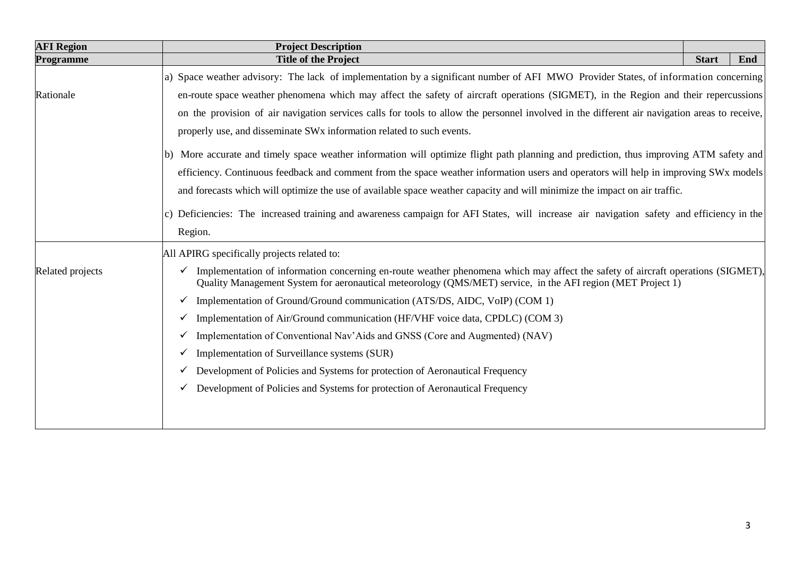| <b>AFI Region</b> | <b>Project Description</b>                                                                                                                                                                                                                                                                                                                                    |  |  |  |  |  |  |  |
|-------------------|---------------------------------------------------------------------------------------------------------------------------------------------------------------------------------------------------------------------------------------------------------------------------------------------------------------------------------------------------------------|--|--|--|--|--|--|--|
| Programme         | <b>Title of the Project</b>                                                                                                                                                                                                                                                                                                                                   |  |  |  |  |  |  |  |
|                   | a) Space weather advisory: The lack of implementation by a significant number of AFI MWO Provider States, of information concerning                                                                                                                                                                                                                           |  |  |  |  |  |  |  |
| Rationale         | en-route space weather phenomena which may affect the safety of aircraft operations (SIGMET), in the Region and their repercussions<br>on the provision of air navigation services calls for tools to allow the personnel involved in the different air navigation areas to receive,<br>properly use, and disseminate SWx information related to such events. |  |  |  |  |  |  |  |
|                   |                                                                                                                                                                                                                                                                                                                                                               |  |  |  |  |  |  |  |
|                   |                                                                                                                                                                                                                                                                                                                                                               |  |  |  |  |  |  |  |
|                   | b) More accurate and timely space weather information will optimize flight path planning and prediction, thus improving ATM safety and                                                                                                                                                                                                                        |  |  |  |  |  |  |  |
|                   | efficiency. Continuous feedback and comment from the space weather information users and operators will help in improving SWx models<br>and forecasts which will optimize the use of available space weather capacity and will minimize the impact on air traffic.                                                                                            |  |  |  |  |  |  |  |
|                   |                                                                                                                                                                                                                                                                                                                                                               |  |  |  |  |  |  |  |
|                   | c) Deficiencies: The increased training and awareness campaign for AFI States, will increase air navigation safety and efficiency in the<br>Region.                                                                                                                                                                                                           |  |  |  |  |  |  |  |
|                   |                                                                                                                                                                                                                                                                                                                                                               |  |  |  |  |  |  |  |
|                   | All APIRG specifically projects related to:                                                                                                                                                                                                                                                                                                                   |  |  |  |  |  |  |  |
| Related projects  | Implementation of information concerning en-route weather phenomena which may affect the safety of aircraft operations (SIGMET),<br>$\checkmark$<br>Quality Management System for aeronautical meteorology (QMS/MET) service, in the AFI region (MET Project 1)                                                                                               |  |  |  |  |  |  |  |
|                   | Implementation of Ground/Ground communication (ATS/DS, AIDC, VoIP) (COM 1)<br>$\checkmark$                                                                                                                                                                                                                                                                    |  |  |  |  |  |  |  |
|                   | Implementation of Air/Ground communication (HF/VHF voice data, CPDLC) (COM 3)<br>v                                                                                                                                                                                                                                                                            |  |  |  |  |  |  |  |
|                   | Implementation of Conventional Nav'Aids and GNSS (Core and Augmented) (NAV)<br>v                                                                                                                                                                                                                                                                              |  |  |  |  |  |  |  |
|                   | Implementation of Surveillance systems (SUR)<br>v                                                                                                                                                                                                                                                                                                             |  |  |  |  |  |  |  |
|                   | Development of Policies and Systems for protection of Aeronautical Frequency<br>v.                                                                                                                                                                                                                                                                            |  |  |  |  |  |  |  |
|                   | Development of Policies and Systems for protection of Aeronautical Frequency                                                                                                                                                                                                                                                                                  |  |  |  |  |  |  |  |
|                   |                                                                                                                                                                                                                                                                                                                                                               |  |  |  |  |  |  |  |
|                   |                                                                                                                                                                                                                                                                                                                                                               |  |  |  |  |  |  |  |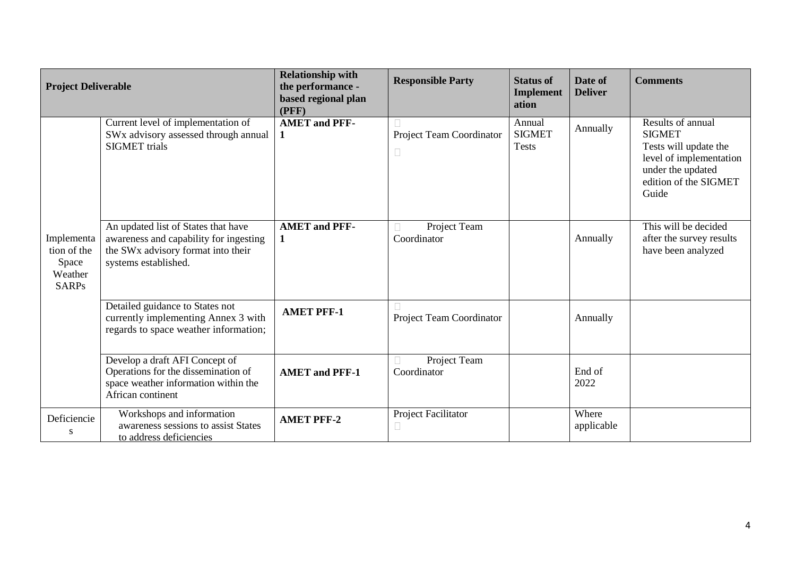| <b>Project Deliverable</b>                                    |                                                                                                                                                         | <b>Relationship with</b><br>the performance -<br>based regional plan<br>(PFF) | <b>Responsible Party</b>           | <b>Status of</b><br><b>Implement</b><br>ation | Date of<br><b>Deliver</b> | <b>Comments</b>                                                                                                                               |
|---------------------------------------------------------------|---------------------------------------------------------------------------------------------------------------------------------------------------------|-------------------------------------------------------------------------------|------------------------------------|-----------------------------------------------|---------------------------|-----------------------------------------------------------------------------------------------------------------------------------------------|
|                                                               | Current level of implementation of<br>SWx advisory assessed through annual<br><b>SIGMET</b> trials                                                      | <b>AMET</b> and PFF-<br>1                                                     | Project Team Coordinator<br>$\Box$ | Annual<br><b>SIGMET</b><br><b>Tests</b>       | Annually                  | Results of annual<br><b>SIGMET</b><br>Tests will update the<br>level of implementation<br>under the updated<br>edition of the SIGMET<br>Guide |
| Implementa<br>tion of the<br>Space<br>Weather<br><b>SARPs</b> | An updated list of States that have<br>awareness and capability for ingesting<br>the SW <sub>x</sub> advisory format into their<br>systems established. | <b>AMET</b> and PFF-<br>$\mathbf{1}$                                          | Project Team<br>□<br>Coordinator   |                                               | Annually                  | This will be decided<br>after the survey results<br>have been analyzed                                                                        |
|                                                               | Detailed guidance to States not<br>currently implementing Annex 3 with<br>regards to space weather information;                                         | <b>AMET PFF-1</b>                                                             | Project Team Coordinator           |                                               | Annually                  |                                                                                                                                               |
|                                                               | Develop a draft AFI Concept of<br>Operations for the dissemination of<br>space weather information within the<br>African continent                      | <b>AMET and PFF-1</b>                                                         | Project Team<br>Coordinator        |                                               | End of<br>2022            |                                                                                                                                               |
| Deficiencie<br>S                                              | Workshops and information<br>awareness sessions to assist States<br>to address deficiencies                                                             | <b>AMET PFF-2</b>                                                             | Project Facilitator                |                                               | Where<br>applicable       |                                                                                                                                               |